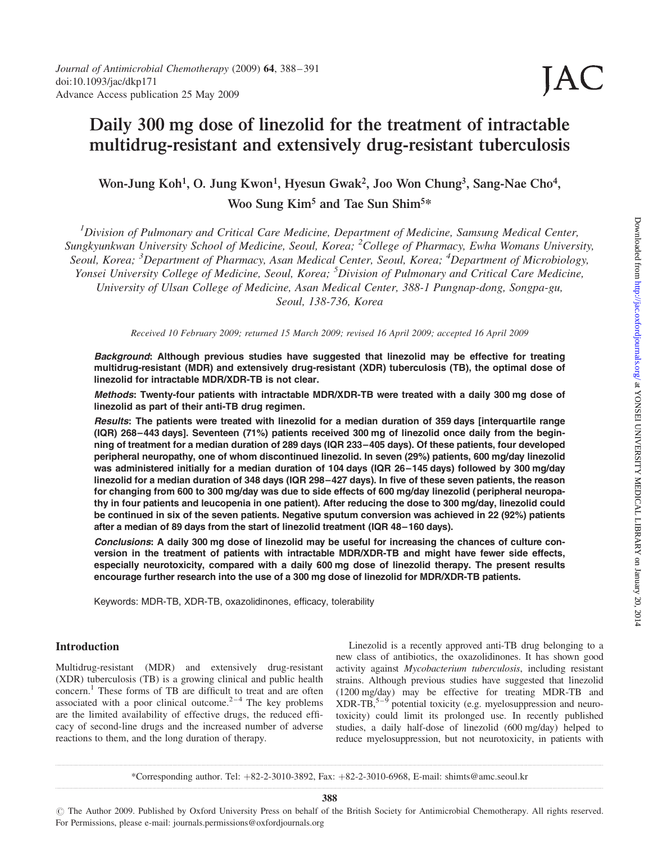# Daily 300 mg dose of linezolid for the treatment of intractable multidrug-resistant and extensively drug-resistant tuberculosis

# Won-Jung Koh<sup>1</sup>, O. Jung Kwon<sup>1</sup>, Hyesun Gwak<sup>2</sup>, Joo Won Chung<sup>3</sup>, Sang-Nae Cho<sup>4</sup>, Woo Sung Kim<sup>5</sup> and Tae Sun Shim<sup>5\*</sup>

<sup>1</sup>Division of Pulmonary and Critical Care Medicine, Department of Medicine, Samsung Medical Center, Sungkyunkwan University School of Medicine, Seoul, Korea; <sup>2</sup>College of Pharmacy, Ewha Womans University, Seoul, Korea; <sup>3</sup>Department of Pharmacy, Asan Medical Center, Seoul, Korea; <sup>4</sup>Department of Microbiology, Yonsei University College of Medicine, Seoul, Korea; <sup>5</sup>Division of Pulmonary and Critical Care Medicine, University of Ulsan College of Medicine, Asan Medical Center, 388-1 Pungnap-dong, Songpa-gu, Seoul, 138-736, Korea

Received 10 February 2009; returned 15 March 2009; revised 16 April 2009; accepted 16 April 2009

Background: Although previous studies have suggested that linezolid may be effective for treating multidrug-resistant (MDR) and extensively drug-resistant (XDR) tuberculosis (TB), the optimal dose of linezolid for intractable MDR/XDR-TB is not clear.

Methods: Twenty-four patients with intractable MDR/XDR-TB were treated with a daily 300 mg dose of linezolid as part of their anti-TB drug regimen.

Results: The patients were treated with linezolid for a median duration of 359 days linterquartile range (IQR) 268–443 days]. Seventeen (71%) patients received 300 mg of linezolid once daily from the beginning of treatment for a median duration of 289 days (IQR 233–405 days). Of these patients, four developed peripheral neuropathy, one of whom discontinued linezolid. In seven (29%) patients, 600 mg/day linezolid was administered initially for a median duration of 104 days (IQR 26–145 days) followed by 300 mg/day linezolid for a median duration of 348 days (IQR 298–427 days). In five of these seven patients, the reason for changing from 600 to 300 mg/day was due to side effects of 600 mg/day linezolid (peripheral neuropathy in four patients and leucopenia in one patient). After reducing the dose to 300 mg/day, linezolid could be continued in six of the seven patients. Negative sputum conversion was achieved in 22 (92%) patients after a median of 89 days from the start of linezolid treatment (IQR 48–160 days).

Conclusions: A daily 300 mg dose of linezolid may be useful for increasing the chances of culture conversion in the treatment of patients with intractable MDR/XDR-TB and might have fewer side effects, especially neurotoxicity, compared with a daily 600 mg dose of linezolid therapy. The present results encourage further research into the use of a 300 mg dose of linezolid for MDR/XDR-TB patients.

Keywords: MDR-TB, XDR-TB, oxazolidinones, efficacy, tolerability

#### Introduction

Multidrug-resistant (MDR) and extensively drug-resistant (XDR) tuberculosis (TB) is a growing clinical and public health concern.<sup>1</sup> These forms of TB are difficult to treat and are often associated with a poor clinical outcome. $2^{-4}$  The key problems are the limited availability of effective drugs, the reduced efficacy of second-line drugs and the increased number of adverse reactions to them, and the long duration of therapy.

Linezolid is a recently approved anti-TB drug belonging to a new class of antibiotics, the oxazolidinones. It has shown good activity against Mycobacterium tuberculosis, including resistant strains. Although previous studies have suggested that linezolid (1200 mg/day) may be effective for treating MDR-TB and  $XDR-TB$ ,<sup>5–9</sup> potential toxicity (e.g. myelosuppression and neurotoxicity) could limit its prolonged use. In recently published studies, a daily half-dose of linezolid (600 mg/day) helped to reduce myelosuppression, but not neurotoxicity, in patients with

\*Corresponding author. Tel: þ82-2-3010-3892, Fax: þ82-2-3010-6968, E-mail: shimts@amc.seoul.kr

JAC

388

# The Author 2009. Published by Oxford University Press on behalf of the British Society for Antimicrobial Chemotherapy. All rights reserved. For Permissions, please e-mail: journals.permissions@oxfordjournals.org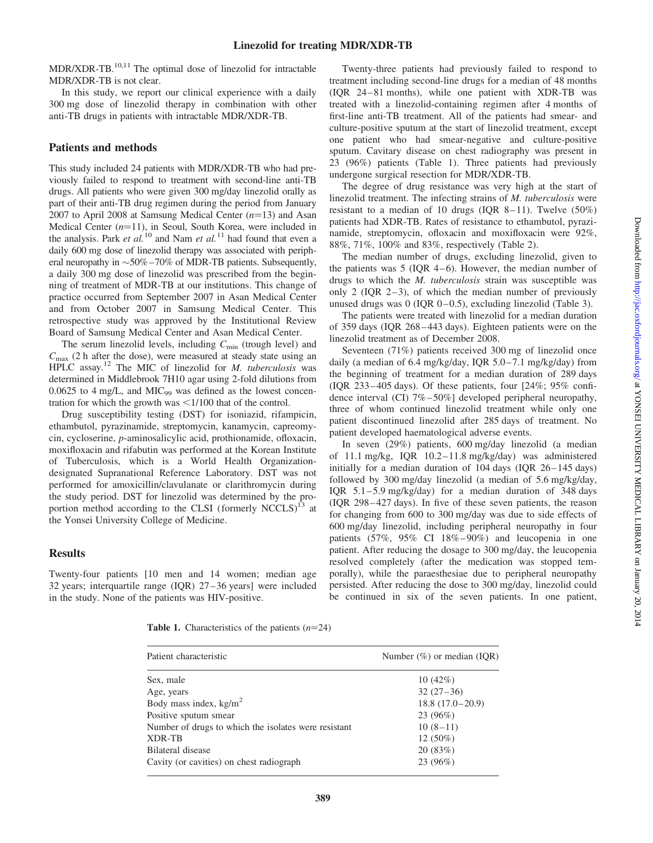$MDR/XDR-TB.$ <sup>10,11</sup> The optimal dose of linezolid for intractable MDR/XDR-TB is not clear.

In this study, we report our clinical experience with a daily 300 mg dose of linezolid therapy in combination with other anti-TB drugs in patients with intractable MDR/XDR-TB.

### Patients and methods

This study included 24 patients with MDR/XDR-TB who had previously failed to respond to treatment with second-line anti-TB drugs. All patients who were given 300 mg/day linezolid orally as part of their anti-TB drug regimen during the period from January 2007 to April 2008 at Samsung Medical Center  $(n=13)$  and Asan Medical Center  $(n=11)$ , in Seoul, South Korea, were included in the analysis. Park et al.<sup>10</sup> and Nam et al.<sup>11</sup> had found that even a daily 600 mg dose of linezolid therapy was associated with peripheral neuropathy in  $\sim$  50% – 70% of MDR-TB patients. Subsequently, a daily 300 mg dose of linezolid was prescribed from the beginning of treatment of MDR-TB at our institutions. This change of practice occurred from September 2007 in Asan Medical Center and from October 2007 in Samsung Medical Center. This retrospective study was approved by the Institutional Review Board of Samsung Medical Center and Asan Medical Center.

The serum linezolid levels, including  $C_{\text{min}}$  (trough level) and  $C_{\text{max}}$  (2 h after the dose), were measured at steady state using an HPLC assay.<sup>12</sup> The MIC of linezolid for *M. tuberculosis* was determined in Middlebrook 7H10 agar using 2-fold dilutions from  $0.0625$  to 4 mg/L, and MIC<sub>99</sub> was defined as the lowest concentration for which the growth was  $\leq 1/100$  that of the control.

Drug susceptibility testing (DST) for isoniazid, rifampicin, ethambutol, pyrazinamide, streptomycin, kanamycin, capreomycin, cycloserine, p-aminosalicylic acid, prothionamide, ofloxacin, moxifloxacin and rifabutin was performed at the Korean Institute of Tuberculosis, which is a World Health Organizationdesignated Supranational Reference Laboratory. DST was not performed for amoxicillin/clavulanate or clarithromycin during the study period. DST for linezolid was determined by the proportion method according to the CLSI (formerly NCCLS)<sup>13</sup> at the Yonsei University College of Medicine.

#### Results

Twenty-four patients [10 men and 14 women; median age 32 years; interquartile range (IQR) 27 –36 years] were included in the study. None of the patients was HIV-positive.

Twenty-three patients had previously failed to respond to treatment including second-line drugs for a median of 48 months (IQR 24– 81 months), while one patient with XDR-TB was treated with a linezolid-containing regimen after 4 months of first-line anti-TB treatment. All of the patients had smear- and culture-positive sputum at the start of linezolid treatment, except one patient who had smear-negative and culture-positive sputum. Cavitary disease on chest radiography was present in 23 (96%) patients (Table 1). Three patients had previously undergone surgical resection for MDR/XDR-TB.

The degree of drug resistance was very high at the start of linezolid treatment. The infecting strains of M. tuberculosis were resistant to a median of 10 drugs (IQR  $8-11$ ). Twelve (50%) patients had XDR-TB. Rates of resistance to ethambutol, pyrazinamide, streptomycin, ofloxacin and moxifloxacin were 92%, 88%, 71%, 100% and 83%, respectively (Table 2).

The median number of drugs, excluding linezolid, given to the patients was  $5$  (IQR 4–6). However, the median number of drugs to which the M. tuberculosis strain was susceptible was only 2 (IQR  $2-3$ ), of which the median number of previously unused drugs was  $0$  (IQR  $0-0.5$ ), excluding linezolid (Table 3).

The patients were treated with linezolid for a median duration of 359 days (IQR 268 –443 days). Eighteen patients were on the linezolid treatment as of December 2008.

Seventeen (71%) patients received 300 mg of linezolid once daily (a median of 6.4 mg/kg/day, IQR 5.0 –7.1 mg/kg/day) from the beginning of treatment for a median duration of 289 days (IQR 233 –405 days). Of these patients, four [24%; 95% confidence interval (CI) 7% –50%] developed peripheral neuropathy, three of whom continued linezolid treatment while only one patient discontinued linezolid after 285 days of treatment. No patient developed haematological adverse events.

In seven (29%) patients, 600 mg/day linezolid (a median of 11.1 mg/kg, IQR 10.2 –11.8 mg/kg/day) was administered initially for a median duration of  $104 \text{ days}$  (IQR  $26 - 145 \text{ days}$ ) followed by 300 mg/day linezolid (a median of 5.6 mg/kg/day, IQR  $5.1-5.9$  mg/kg/day) for a median duration of 348 days (IQR 298 – 427 days). In five of these seven patients, the reason for changing from 600 to 300 mg/day was due to side effects of 600 mg/day linezolid, including peripheral neuropathy in four patients  $(57\%, 95\% \text{ CI } 18\% - 90\%)$  and leucopenia in one patient. After reducing the dosage to 300 mg/day, the leucopenia resolved completely (after the medication was stopped temporally), while the paraesthesiae due to peripheral neuropathy persisted. After reducing the dose to 300 mg/day, linezolid could be continued in six of the seven patients. In one patient,

**Table 1.** Characteristics of the patients  $(n=24)$ 

| Patient characteristic                               | Number $(\%)$ or median (IQR) |
|------------------------------------------------------|-------------------------------|
| Sex, male                                            | 10(42%)                       |
| Age, years                                           | $32(27-36)$                   |
| Body mass index, $kg/m2$                             | $18.8(17.0-20.9)$             |
| Positive sputum smear                                | 23 (96%)                      |
| Number of drugs to which the isolates were resistant | $10(8-11)$                    |
| XDR-TB                                               | $12(50\%)$                    |
| Bilateral disease                                    | 20(83%)                       |
| Cavity (or cavities) on chest radiograph             | 23 (96%)                      |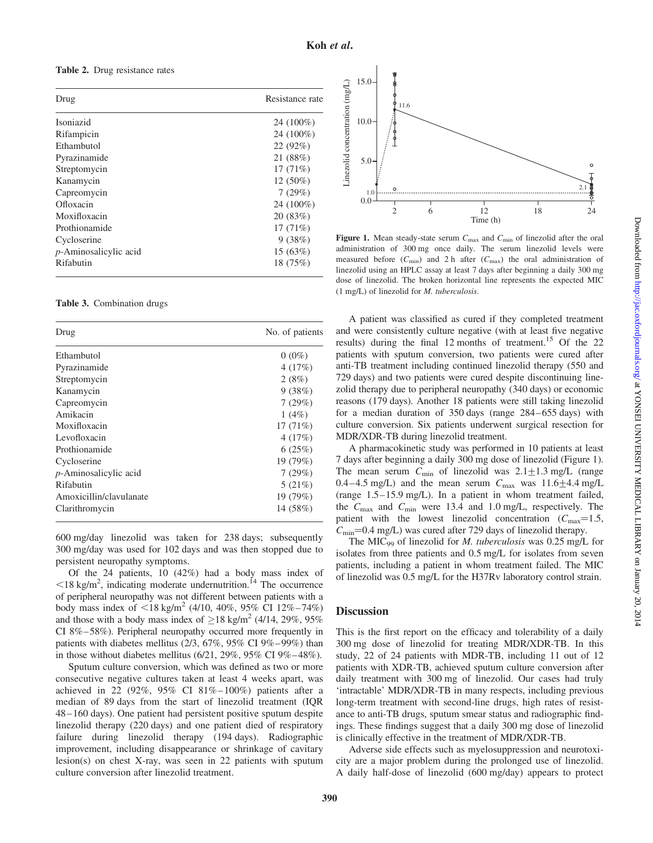Table 2. Drug resistance rates

| Drug                     | Resistance rate |
|--------------------------|-----------------|
| Isoniazid                | 24 (100%)       |
| Rifampicin               | 24 (100%)       |
| Ethambutol               | 22(92%)         |
| Pyrazinamide             | 21 (88%)        |
| Streptomycin             | 17(71%)         |
| Kanamycin                | $12(50\%)$      |
| Capreomycin              | 7(29%)          |
| Ofloxacin                | 24 (100%)       |
| Moxifloxacin             | 20(83%)         |
| Prothionamide            | 17(71%)         |
| Cycloserine              | 9(38%)          |
| $p$ -Aminosalicylic acid | 15(63%)         |
| Rifabutin                | 18 (75%)        |

Table 3. Combination drugs

| Drug                     | No. of patients |
|--------------------------|-----------------|
| Ethambutol               | $0(0\%)$        |
| Pyrazinamide             | 4(17%)          |
| Streptomycin             | 2(8%)           |
| Kanamycin                | 9(38%)          |
| Capreomycin              | 7(29%)          |
| Amikacin                 | $1(4\%)$        |
| Moxifloxacin             | 17(71%)         |
| Levofloxacin             | 4(17%)          |
| Prothionamide            | 6(25%)          |
| Cycloserine              | 19 (79%)        |
| $p$ -Aminosalicylic acid | 7(29%)          |
| Rifabutin                | 5(21%)          |
| Amoxicillin/clavulanate  | 19 (79%)        |
| Clarithromycin           | 14 (58%)        |

600 mg/day linezolid was taken for 238 days; subsequently 300 mg/day was used for 102 days and was then stopped due to persistent neuropathy symptoms.

Of the 24 patients, 10 (42%) had a body mass index of  $\leq$ 18 kg/m<sup>2</sup>, indicating moderate undernutrition.<sup>14</sup> The occurrence of peripheral neuropathy was not different between patients with a body mass index of  $\langle 18 \text{ kg/m}^2 (4/10, 40\%, 95\% \text{ CI } 12\% - 74\% )$ and those with a body mass index of  $\geq 18$  kg/m<sup>2</sup> (4/14, 29%, 95%) CI 8%–58%). Peripheral neuropathy occurred more frequently in patients with diabetes mellitus (2/3, 67%, 95% CI 9%–99%) than in those without diabetes mellitus  $(6/21, 29\%, 95\% \text{ CI } 9\% - 48\%).$ 

Sputum culture conversion, which was defined as two or more consecutive negative cultures taken at least 4 weeks apart, was achieved in 22 (92%, 95% CI 81% – 100%) patients after a median of 89 days from the start of linezolid treatment (IQR 48 –160 days). One patient had persistent positive sputum despite linezolid therapy (220 days) and one patient died of respiratory failure during linezolid therapy (194 days). Radiographic improvement, including disappearance or shrinkage of cavitary lesion(s) on chest X-ray, was seen in 22 patients with sputum culture conversion after linezolid treatment.



Figure 1. Mean steady-state serum  $C_{\text{max}}$  and  $C_{\text{min}}$  of linezolid after the oral administration of 300 mg once daily. The serum linezolid levels were measured before  $(C_{\text{min}})$  and 2 h after  $(C_{\text{max}})$  the oral administration of linezolid using an HPLC assay at least 7 days after beginning a daily 300 mg dose of linezolid. The broken horizontal line represents the expected MIC (1 mg/L) of linezolid for M. tuberculosis.

A patient was classified as cured if they completed treatment and were consistently culture negative (with at least five negative results) during the final 12 months of treatment.<sup>15</sup> Of the 22 patients with sputum conversion, two patients were cured after anti-TB treatment including continued linezolid therapy (550 and 729 days) and two patients were cured despite discontinuing linezolid therapy due to peripheral neuropathy (340 days) or economic reasons (179 days). Another 18 patients were still taking linezolid for a median duration of 350 days (range 284–655 days) with culture conversion. Six patients underwent surgical resection for MDR/XDR-TB during linezolid treatment.

A pharmacokinetic study was performed in 10 patients at least 7 days after beginning a daily 300 mg dose of linezolid (Figure 1). The mean serum  $C_{\text{min}}$  of linezolid was  $2.1 \pm 1.3$  mg/L (range 0.4–4.5 mg/L) and the mean serum  $C_{\text{max}}$  was 11.6 $\pm$ 4.4 mg/L (range 1.5–15.9 mg/L). In a patient in whom treatment failed, the  $C_{\text{max}}$  and  $C_{\text{min}}$  were 13.4 and 1.0 mg/L, respectively. The patient with the lowest linezolid concentration  $(C_{\text{max}}=1.5,$  $C_{\text{min}}$ =0.4 mg/L) was cured after 729 days of linezolid therapy.

The MIC<sub>99</sub> of linezolid for *M. tuberculosis* was  $0.25 \text{ mg/L}$  for isolates from three patients and 0.5 mg/L for isolates from seven patients, including a patient in whom treatment failed. The MIC of linezolid was 0.5 mg/L for the H37Rv laboratory control strain.

#### **Discussion**

This is the first report on the efficacy and tolerability of a daily 300 mg dose of linezolid for treating MDR/XDR-TB. In this study, 22 of 24 patients with MDR-TB, including 11 out of 12 patients with XDR-TB, achieved sputum culture conversion after daily treatment with 300 mg of linezolid. Our cases had truly 'intractable' MDR/XDR-TB in many respects, including previous long-term treatment with second-line drugs, high rates of resistance to anti-TB drugs, sputum smear status and radiographic findings. These findings suggest that a daily 300 mg dose of linezolid is clinically effective in the treatment of MDR/XDR-TB.

Adverse side effects such as myelosuppression and neurotoxicity are a major problem during the prolonged use of linezolid. A daily half-dose of linezolid (600 mg/day) appears to protect